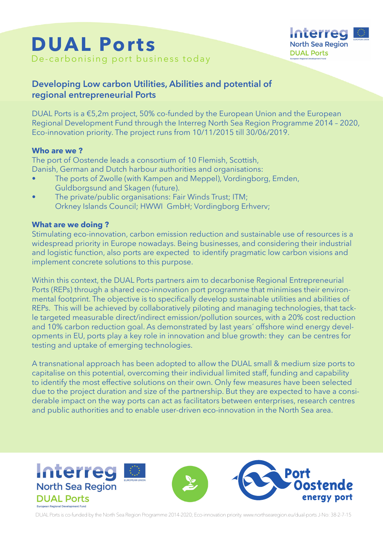



# **Developing Low carbon Utilities, Abilities and potential of regional entrepreneurial Ports**

DUAL Ports is a €5,2m project, 50% co-funded by the European Union and the European Regional Development Fund through the Interreg North Sea Region Programme 2014 – 2020, Eco-innovation priority. The project runs from 10/11/2015 till 30/06/2019.

### **Who are we ?**

The port of Oostende leads a consortium of 10 Flemish, Scottish, Danish, German and Dutch harbour authorities and organisations:

- The ports of Zwolle (with Kampen and Meppel), Vordingborg, Emden, Guldborgsund and Skagen (future).
- The private/public organisations: Fair Winds Trust; ITM; Orkney Islands Council; HWWI GmbH; Vordingborg Erhverv;

# **What are we doing ?**

Stimulating eco-innovation, carbon emission reduction and sustainable use of resources is a widespread priority in Europe nowadays. Being businesses, and considering their industrial and logistic function, also ports are expected to identify pragmatic low carbon visions and implement concrete solutions to this purpose.

Within this context, the DUAL Ports partners aim to decarbonise Regional Entrepreneurial Ports (REPs) through a shared eco-innovation port programme that minimises their environmental footprint. The objective is to specifically develop sustainable utilities and abilities of REPs. This will be achieved by collaboratively piloting and managing technologies, that tackle targeted measurable direct/indirect emission/pollution sources, with a 20% cost reduction and 10% carbon reduction goal. As demonstrated by last years´ offshore wind energy developments in EU, ports play a key role in innovation and blue growth: they can be centres for testing and uptake of emerging technologies.

A transnational approach has been adopted to allow the DUAL small & medium size ports to capitalise on this potential, overcoming their individual limited staff, funding and capability to identify the most effective solutions on their own. Only few measures have been selected due to the project duration and size of the partnership. But they are expected to have a considerable impact on the way ports can act as facilitators between enterprises, research centres and public authorities and to enable user-driven eco-innovation in the North Sea area.



DUAL Ports is co-funded by the North Sea Region Programme 2014-2020; Eco-innovation priority. www.northsearegion.eu/dual-ports J-No: 38-2-7-15